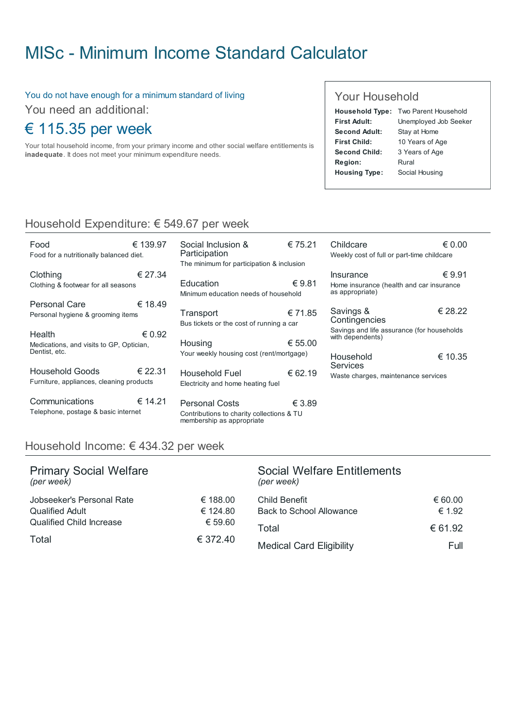# MISc - Minimum Income Standard [Calculator](http://www.misc.ie/)

#### You do not have enough for a minimum standard of living

You need an additional:

## € 115.35 per week

Your total household income, from your primary income and other social welfare entitlements is inadequate. It does not meet your minimum expenditure needs.

#### Your Household

|                      | Household Type: Two Parent Household |
|----------------------|--------------------------------------|
| <b>First Adult:</b>  | Unemployed Job Seeker                |
| Second Adult:        | Stay at Home                         |
| <b>First Child:</b>  | 10 Years of Age                      |
| Second Child:        | 3 Years of Age                       |
| Region:              | Rural                                |
| <b>Housing Type:</b> | Social Housing                       |

### Household Expenditure: € 549.67 per week

| Food<br>Food for a nutritionally balanced diet.                     | € 139.97        |
|---------------------------------------------------------------------|-----------------|
| Clothing<br>Clothing & footwear for all seasons                     | € 27.34         |
| Personal Care<br>Personal hygiene & grooming items                  | € 18.49         |
| Health<br>Medications, and visits to GP, Optician,<br>Dentist, etc. | $\epsilon$ 0.92 |
| <b>Household Goods</b><br>Furniture, appliances, cleaning products  | € 22.31         |
| Communications<br>Telephone, postage & basic internet               | € 14.21         |

| Social Inclusion &<br>Participation<br>The minimum for participation & inclusion | € 75.21 | Childcare<br>Weekly cost                 |
|----------------------------------------------------------------------------------|---------|------------------------------------------|
| Education<br>Minimum education needs of household                                | €9.81   | Insurance<br>Home insura<br>as appropria |
| Transport<br>Bus tickets or the cost of running a car                            | € 71.85 | Savings 8<br>Continger<br>Savings and    |
| Housing                                                                          | € 55.00 | with depend                              |
| Your weekly housing cost (rent/mortgage)                                         |         | Househol<br><b>Services</b>              |
| Household Fuel<br>Electricity and home heating fuel                              | € 62.19 | Waste charc                              |
|                                                                                  |         |                                          |

€ 3.89 Personal Costs Contributions to charity collections & TU membership as appropriate

| Weekly cost of full or part-time childcare                               |         |  |
|--------------------------------------------------------------------------|---------|--|
| Insurance<br>Home insurance (health and car insurance<br>as appropriate) | €9.91   |  |
| € 28.22<br>Savings &<br>Contingencies                                    |         |  |
| Savings and life assurance (for households<br>with dependents)           |         |  |
| Household<br><b>Services</b>                                             | € 10.35 |  |

€ 0.00

te charges, maintenance services

#### Household Income: € 434.32 per week

| <b>Primary Social Welfare</b><br>(per week) |          | <b>Social Welfare Entitlements</b><br>(per week) |         |
|---------------------------------------------|----------|--------------------------------------------------|---------|
| Jobseeker's Personal Rate                   | € 188.00 | Child Benefit                                    | € 60.00 |
| <b>Qualified Adult</b>                      | € 124.80 | <b>Back to School Allowance</b>                  | € 1.92  |
| <b>Qualified Child Increase</b>             | € 59.60  | Total                                            | € 61.92 |
| Total                                       | € 372.40 | <b>Medical Card Eligibility</b>                  | Full    |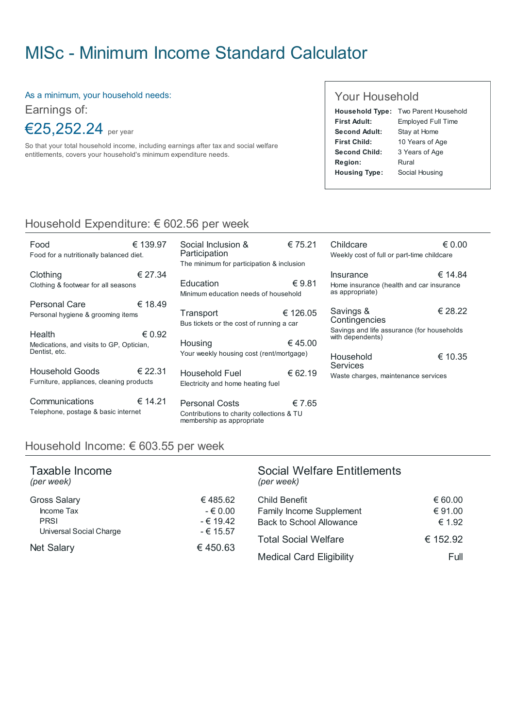# MISc - Minimum Income Standard [Calculator](http://www.misc.ie/)

As a minimum, your household needs:

Earnings of:

€25,252.24 per year

So that your total household income, including earnings after tax and social welfare entitlements, covers your household's minimum expenditure needs.

#### Your Household

|                      | Household Type: Two Parent Household |  |
|----------------------|--------------------------------------|--|
| First Adult:         | <b>Employed Full Time</b>            |  |
| Second Adult:        | Stay at Home                         |  |
| First Child:         | 10 Years of Age                      |  |
| Second Child:        | 3 Years of Age                       |  |
| Region:              | Rural                                |  |
| <b>Housing Type:</b> | Social Housing                       |  |

### Household Expenditure: € 602.56 per week

| Food<br>Food for a nutritionally balanced diet.                     | € 139.97        |
|---------------------------------------------------------------------|-----------------|
| Clothing<br>Clothing & footwear for all seasons                     | € 27.34         |
| Personal Care<br>Personal hygiene & grooming items                  | € 18.49         |
| Health<br>Medications, and visits to GP, Optician,<br>Dentist, etc. | $\epsilon$ 0.92 |
| Household Goods<br>Furniture, appliances, cleaning products         | € 22.31         |
| Communications<br>Telephone, postage & basic internet               | € 14.21         |

| Social Inclusion &<br>Participation<br>The minimum for participation & inclusion | € 75.21  | C<br>W         |
|----------------------------------------------------------------------------------|----------|----------------|
| Education<br>Minimum education needs of household                                | €9.81    | In<br>Ho<br>as |
| Transport<br>Bus tickets or the cost of running a car                            | € 126.05 | S<br>C<br>Sε   |
| Housing<br>Your weekly housing cost (rent/mortgage)                              | €45.00   | wi<br>н        |
| Household Fuel<br>Electricity and home heating fuel                              | € 62.19  | S<br>Ŵ         |

€ 7.65 Personal Costs Contributions to charity collections & TU membership as appropriate

| Childcare<br>Weekly cost of full or part-time childcare                  | $\epsilon$ 0.00 |
|--------------------------------------------------------------------------|-----------------|
| Insurance<br>Home insurance (health and car insurance<br>as appropriate) | € 14.84         |
| Savings &<br>Contingencies                                               | € 28.22         |
| Savings and life assurance (for households<br>with dependents)           |                 |
| Household<br>Services                                                    | € 10.35         |

aste charges, maintenance services

#### Household Income: € 603.55 per week

| Taxable Income<br>(per week)           |                          | <b>Social Welfare Entitlements</b><br>(per week) |          |
|----------------------------------------|--------------------------|--------------------------------------------------|----------|
| <b>Gross Salary</b>                    | €485.62                  | Child Benefit                                    | € 60.00  |
| Income Tax                             | $-€0.00$                 | Family Income Supplement                         | € 91.00  |
| <b>PRSI</b><br>Universal Social Charge | $-€ 19.42$<br>$-€ 15.57$ | <b>Back to School Allowance</b>                  | € 1.92   |
|                                        |                          | <b>Total Social Welfare</b>                      | € 152.92 |
| <b>Net Salary</b>                      | €450.63                  | <b>Medical Card Eligibility</b>                  | Full     |